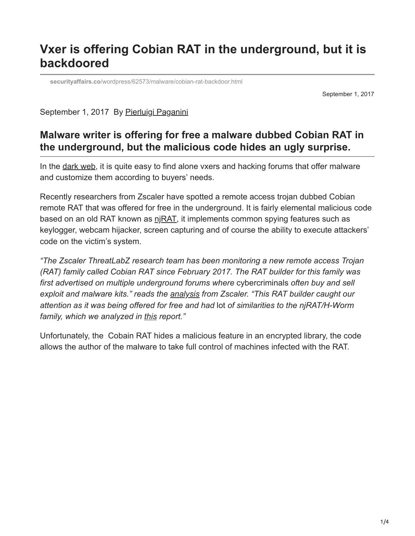# **Vxer is offering Cobian RAT in the underground, but it is backdoored**

**securityaffairs.co**[/wordpress/62573/malware/cobian-rat-backdoor.html](https://securityaffairs.co/wordpress/62573/malware/cobian-rat-backdoor.html)

September 1, 2017

September 1, 2017 By [Pierluigi Paganini](https://securityaffairs.co/wordpress/author/paganinip)

## **Malware writer is offering for free a malware dubbed Cobian RAT in the underground, but the malicious code hides an ugly surprise.**

In the [dark web](http://securityaffairs.co/wordpress/61206/cyber-crime/alphabay-hansa-shutdown.html), it is quite easy to find alone vxers and hacking forums that offer malware and customize them according to buyers' needs.

Recently researchers from Zscaler have spotted a remote access trojan dubbed Cobian remote RAT that was offered for free in the underground. It is fairly elemental malicious code based on an old RAT known as  $pi$  RAT, it implements common spying features such as keylogger, webcam hijacker, screen capturing and of course the ability to execute attackers' code on the victim's system.

*"The Zscaler ThreatLabZ research team has been monitoring a new remote access Trojan (RAT) family called Cobian RAT since February 2017. The RAT builder for this family was first advertised on multiple underground forums where* cybercriminals *often buy and sell exploit and malware kits." reads the [analysis](https://www.zscaler.com/blogs/research/cobian-rat-backdoored-rat) from Zscaler. "This RAT builder caught our attention as it was being offered for free and had* lot *of similarities to the njRAT/H-Worm family, which we analyzed in [this](https://www.zscaler.com/blogs/research/njrat-h-worm-variant-infections-continue-rise) report."*

Unfortunately, the Cobain RAT hides a malicious feature in an encrypted library, the code allows the author of the malware to take full control of machines infected with the RAT.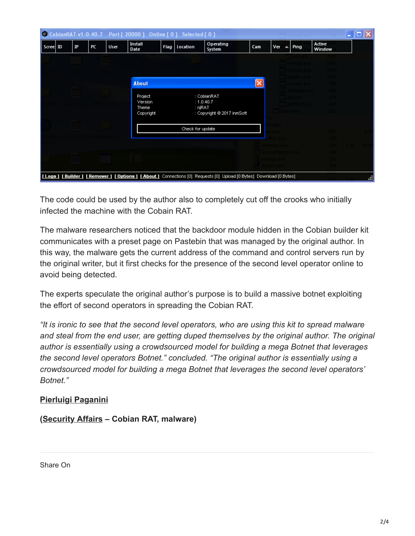|                                                                                                           |  |             |    |      |                        | C CobianRAT v1.0.40.7 Port [ 20000 ] Online [ 0 ] Selected [ 0 ] |                  |                            |                 |                         |      |                  | ÷  |  |
|-----------------------------------------------------------------------------------------------------------|--|-------------|----|------|------------------------|------------------------------------------------------------------|------------------|----------------------------|-----------------|-------------------------|------|------------------|----|--|
| Scree ID                                                                                                  |  | $_{\rm IP}$ | PC | User | <b>Install</b><br>Date |                                                                  | Flag   Location  | Operating<br>System        | Cam             | Ver<br>$\blacktriangle$ | Ping | Active<br>Window |    |  |
|                                                                                                           |  |             |    |      |                        |                                                                  |                  |                            |                 |                         |      |                  |    |  |
|                                                                                                           |  |             |    |      |                        |                                                                  |                  |                            |                 |                         |      |                  |    |  |
|                                                                                                           |  |             |    |      | <b>About</b>           |                                                                  |                  |                            | $\vert x \vert$ |                         |      |                  |    |  |
|                                                                                                           |  |             |    |      | Project<br>Version     |                                                                  |                  | : CobianRAT<br>: 1.0.40.7  |                 |                         |      |                  |    |  |
|                                                                                                           |  |             |    |      | Theme<br>Copyright     |                                                                  | : njRAT          | : Copyright @ 2017 inmSoft |                 |                         |      |                  |    |  |
|                                                                                                           |  |             |    |      |                        |                                                                  | Check for update |                            |                 | mın                     |      |                  |    |  |
|                                                                                                           |  |             |    |      |                        |                                                                  |                  |                            |                 |                         |      |                  |    |  |
|                                                                                                           |  |             |    |      |                        |                                                                  |                  |                            |                 |                         |      |                  |    |  |
|                                                                                                           |  |             |    |      |                        |                                                                  |                  |                            |                 |                         |      |                  |    |  |
|                                                                                                           |  |             |    |      |                        |                                                                  |                  |                            |                 |                         |      |                  |    |  |
|                                                                                                           |  |             |    |      |                        |                                                                  |                  |                            |                 |                         |      |                  |    |  |
| [Logs][Builder][Remover][Options][About] Connections [0] Requests [0] Upload [0 Bytes] Download [0 Bytes] |  |             |    |      |                        |                                                                  |                  |                            |                 |                         |      |                  | W. |  |

The code could be used by the author also to completely cut off the crooks who initially infected the machine with the Cobain RAT.

The malware researchers noticed that the backdoor module hidden in the Cobian builder kit communicates with a preset page on Pastebin that was managed by the original author. In this way, the malware gets the current address of the command and control servers run by the original writer, but it first checks for the presence of the second level operator online to avoid being detected.

The experts speculate the original author's purpose is to build a massive botnet exploiting the effort of second operators in spreading the Cobian RAT.

*"It is ironic to see that the second level operators, who are using this kit to spread malware and steal from the end user, are getting duped themselves by the original author. The original author is essentially using a crowdsourced model for building a mega Botnet that leverages the second level operators Botnet." concluded. "The original author is essentially using a crowdsourced model for building a mega Botnet that leverages the second level operators' Botnet."*

#### **[Pierluigi Paganini](http://www.linkedin.com/pub/pierluigi-paganini/b/742/559)**

**([Security Affairs](http://securityaffairs.co/wordpress/) – Cobian RAT, malware)**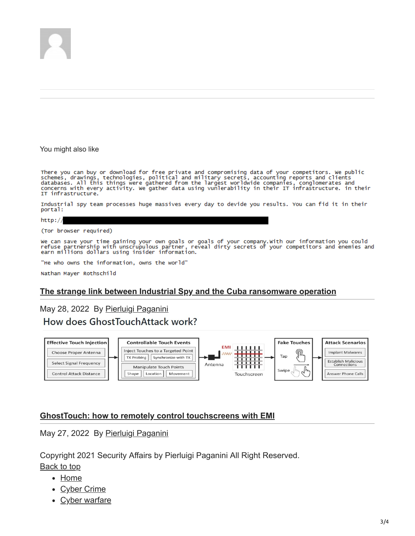

You might also like

There you can buy or download for free private and compromising data of your competitors. We public<br>schemes, drawings, technologies, political and military secrets, accounting reports and clients<br>databases. All this things IT infrastructure.

Industrial spy team processes huge massives every day to devide you results. You can fid it in their portal:

http://

(Tor browser required)

we can save your time gaining your own goals or goals of your company.with our information you could<br>refuse partnership with unscrupulous partner, reveal dirty secrets of your competitors and enemies and<br>earn millions doll

"He who owns the information, owns the world"

Nathan Mayer Rothschild

#### **[The strange link between Industrial Spy and the Cuba ransomware operation](https://securityaffairs.co/wordpress/131754/cyber-crime/industrial-spy-cuba-ransomware.html)**

### May 28, 2022 By [Pierluigi Paganini](https://securityaffairs.co/wordpress/author/paganinip) How does GhostTouchAttack work?



#### **[GhostTouch: how to remotely control touchscreens with EMI](https://securityaffairs.co/wordpress/131714/hacking/ghosttouch-touchscreens-attack.html)**

May 27, 2022 By [Pierluigi Paganini](https://securityaffairs.co/wordpress/author/paganinip)

Copyright 2021 Security Affairs by Pierluigi Paganini All Right Reserved.

Back to top

- [Home](http://securityaffairs.co/wordpress/)
- [Cyber Crime](https://securityaffairs.co/wordpress/category/cyber-crime)
- [Cyber warfare](https://securityaffairs.co/wordpress/category/cyber-warfare-2)